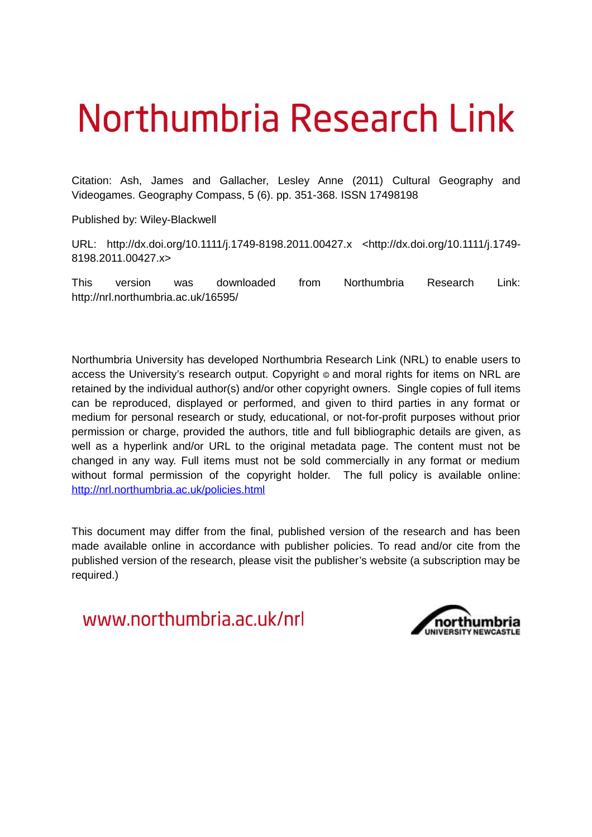# Northumbria Research Link

Citation: Ash, James and Gallacher, Lesley Anne (2011) Cultural Geography and Videogames. Geography Compass, 5 (6). pp. 351-368. ISSN 17498198

Published by: Wiley-Blackwell

URL: http://dx.doi.org/10.1111/j.1749-8198.2011.00427.x <http://dx.doi.org/10.1111/j.1749- 8198.2011.00427.x>

This version was downloaded from Northumbria Research Link: http://nrl.northumbria.ac.uk/16595/

Northumbria University has developed Northumbria Research Link (NRL) to enable users to access the University's research output. Copyright  $\circ$  and moral rights for items on NRL are retained by the individual author(s) and/or other copyright owners. Single copies of full items can be reproduced, displayed or performed, and given to third parties in any format or medium for personal research or study, educational, or not-for-profit purposes without prior permission or charge, provided the authors, title and full bibliographic details are given, as well as a hyperlink and/or URL to the original metadata page. The content must not be changed in any way. Full items must not be sold commercially in any format or medium without formal permission of the copyright holder. The full policy is available online: <http://nrl.northumbria.ac.uk/policies.html>

This document may differ from the final, published version of the research and has been made available online in accordance with publisher policies. To read and/or cite from the published version of the research, please visit the publisher's website (a subscription may be required.)

www.northumbria.ac.uk/nrl

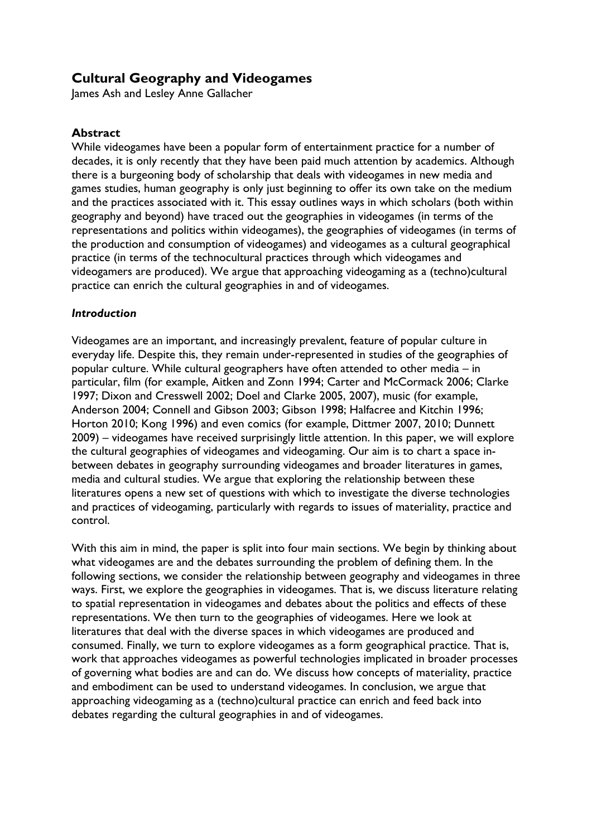# **Cultural Geography and Videogames**

James Ash and Lesley Anne Gallacher

### **Abstract**

While videogames have been a popular form of entertainment practice for a number of decades, it is only recently that they have been paid much attention by academics. Although there is a burgeoning body of scholarship that deals with videogames in new media and games studies, human geography is only just beginning to offer its own take on the medium and the practices associated with it. This essay outlines ways in which scholars (both within geography and beyond) have traced out the geographies in videogames (in terms of the representations and politics within videogames), the geographies of videogames (in terms of the production and consumption of videogames) and videogames as a cultural geographical practice (in terms of the technocultural practices through which videogames and videogamers are produced). We argue that approaching videogaming as a (techno)cultural practice can enrich the cultural geographies in and of videogames.

#### *Introduction*

Videogames are an important, and increasingly prevalent, feature of popular culture in everyday life. Despite this, they remain under-represented in studies of the geographies of popular culture. While cultural geographers have often attended to other media – in particular, film (for example, Aitken and Zonn 1994; Carter and McCormack 2006; Clarke 1997; Dixon and Cresswell 2002; Doel and Clarke 2005, 2007), music (for example, Anderson 2004; Connell and Gibson 2003; Gibson 1998; Halfacree and Kitchin 1996; Horton 2010; Kong 1996) and even comics (for example, Dittmer 2007, 2010; Dunnett 2009) – videogames have received surprisingly little attention. In this paper, we will explore the cultural geographies of videogames and videogaming. Our aim is to chart a space inbetween debates in geography surrounding videogames and broader literatures in games, media and cultural studies. We argue that exploring the relationship between these literatures opens a new set of questions with which to investigate the diverse technologies and practices of videogaming, particularly with regards to issues of materiality, practice and control.

With this aim in mind, the paper is split into four main sections. We begin by thinking about what videogames are and the debates surrounding the problem of defining them. In the following sections, we consider the relationship between geography and videogames in three ways. First, we explore the geographies in videogames. That is, we discuss literature relating to spatial representation in videogames and debates about the politics and effects of these representations. We then turn to the geographies of videogames. Here we look at literatures that deal with the diverse spaces in which videogames are produced and consumed. Finally, we turn to explore videogames as a form geographical practice. That is, work that approaches videogames as powerful technologies implicated in broader processes of governing what bodies are and can do. We discuss how concepts of materiality, practice and embodiment can be used to understand videogames. In conclusion, we argue that approaching videogaming as a (techno)cultural practice can enrich and feed back into debates regarding the cultural geographies in and of videogames.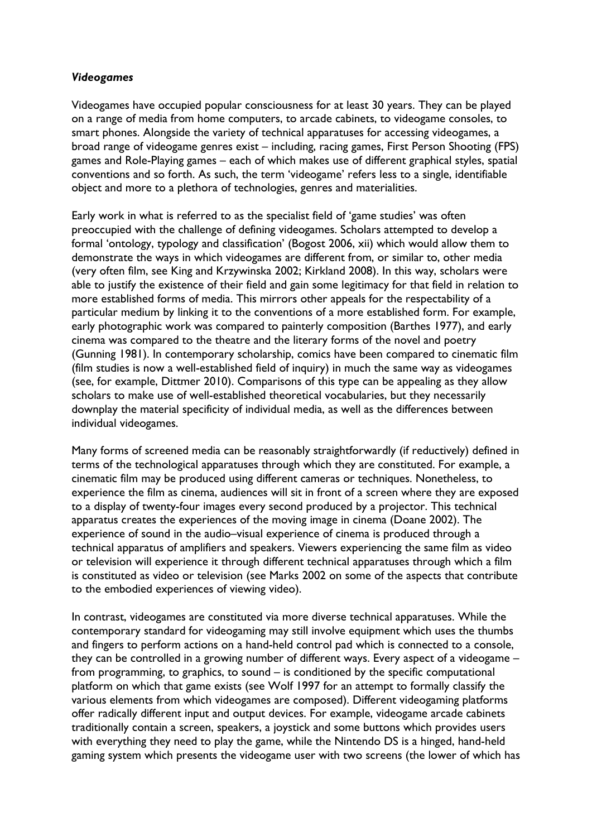#### *Videogames*

Videogames have occupied popular consciousness for at least 30 years. They can be played on a range of media from home computers, to arcade cabinets, to videogame consoles, to smart phones. Alongside the variety of technical apparatuses for accessing videogames, a broad range of videogame genres exist – including, racing games, First Person Shooting (FPS) games and Role-Playing games – each of which makes use of different graphical styles, spatial conventions and so forth. As such, the term 'videogame' refers less to a single, identifiable object and more to a plethora of technologies, genres and materialities.

Early work in what is referred to as the specialist field of 'game studies' was often preoccupied with the challenge of defining videogames. Scholars attempted to develop a formal 'ontology, typology and classification' (Bogost 2006, xii) which would allow them to demonstrate the ways in which videogames are different from, or similar to, other media (very often film, see King and Krzywinska 2002; Kirkland 2008). In this way, scholars were able to justify the existence of their field and gain some legitimacy for that field in relation to more established forms of media. This mirrors other appeals for the respectability of a particular medium by linking it to the conventions of a more established form. For example, early photographic work was compared to painterly composition (Barthes 1977), and early cinema was compared to the theatre and the literary forms of the novel and poetry (Gunning 1981). In contemporary scholarship, comics have been compared to cinematic film (film studies is now a well-established field of inquiry) in much the same way as videogames (see, for example, Dittmer 2010). Comparisons of this type can be appealing as they allow scholars to make use of well-established theoretical vocabularies, but they necessarily downplay the material specificity of individual media, as well as the differences between individual videogames.

Many forms of screened media can be reasonably straightforwardly (if reductively) defined in terms of the technological apparatuses through which they are constituted. For example, a cinematic film may be produced using different cameras or techniques. Nonetheless, to experience the film as cinema, audiences will sit in front of a screen where they are exposed to a display of twenty-four images every second produced by a projector. This technical apparatus creates the experiences of the moving image in cinema (Doane 2002). The experience of sound in the audio–visual experience of cinema is produced through a technical apparatus of amplifiers and speakers. Viewers experiencing the same film as video or television will experience it through different technical apparatuses through which a film is constituted as video or television (see Marks 2002 on some of the aspects that contribute to the embodied experiences of viewing video).

In contrast, videogames are constituted via more diverse technical apparatuses. While the contemporary standard for videogaming may still involve equipment which uses the thumbs and fingers to perform actions on a hand-held control pad which is connected to a console, they can be controlled in a growing number of different ways. Every aspect of a videogame – from programming, to graphics, to sound – is conditioned by the specific computational platform on which that game exists (see Wolf 1997 for an attempt to formally classify the various elements from which videogames are composed). Different videogaming platforms offer radically different input and output devices. For example, videogame arcade cabinets traditionally contain a screen, speakers, a joystick and some buttons which provides users with everything they need to play the game, while the Nintendo DS is a hinged, hand-held gaming system which presents the videogame user with two screens (the lower of which has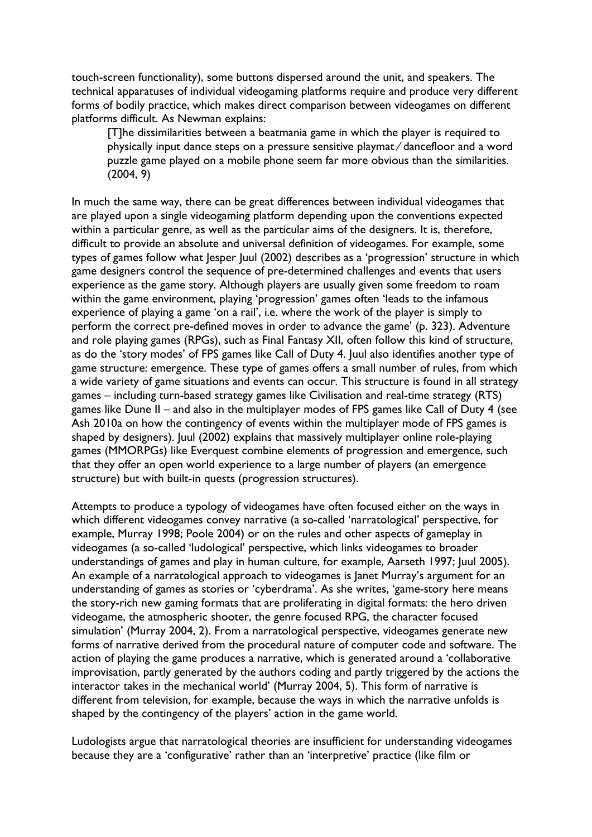touch-screen functionality), some buttons dispersed around the unit, and speakers. The technical apparatuses of individual videogaming platforms require and produce very different forms of bodily practice, which makes direct comparison between videogames on different platforms difficult. As Newman explains:

[T]he dissimilarities between a beatmania game in which the player is required to physically input dance steps on a pressure sensitive playmat ⁄ dancefloor and a word puzzle game played on a mobile phone seem far more obvious than the similarities. (2004, 9)

In much the same way, there can be great differences between individual videogames that are played upon a single videogaming platform depending upon the conventions expected within a particular genre, as well as the particular aims of the designers. It is, therefore, difficult to provide an absolute and universal definition of videogames. For example, some types of games follow what Jesper Juul (2002) describes as a 'progression' structure in which game designers control the sequence of pre-determined challenges and events that users experience as the game story. Although players are usually given some freedom to roam within the game environment, playing 'progression' games often 'leads to the infamous experience of playing a game 'on a rail', i.e. where the work of the player is simply to perform the correct pre-defined moves in order to advance the game' (p. 323). Adventure and role playing games (RPGs), such as Final Fantasy XII, often follow this kind of structure, as do the 'story modes' of FPS games like Call of Duty 4. Juul also identifies another type of game structure: emergence. These type of games offers a small number of rules, from which a wide variety of game situations and events can occur. This structure is found in all strategy games – including turn-based strategy games like Civilisation and real-time strategy (RTS) games like Dune II – and also in the multiplayer modes of FPS games like Call of Duty 4 (see Ash 2010a on how the contingency of events within the multiplayer mode of FPS games is shaped by designers). Juul (2002) explains that massively multiplayer online role-playing games (MMORPGs) like Everquest combine elements of progression and emergence, such that they offer an open world experience to a large number of players (an emergence structure) but with built-in quests (progression structures).

Attempts to produce a typology of videogames have often focused either on the ways in which different videogames convey narrative (a so-called 'narratological' perspective, for example, Murray 1998; Poole 2004) or on the rules and other aspects of gameplay in videogames (a so-called 'ludological' perspective, which links videogames to broader understandings of games and play in human culture, for example, Aarseth 1997; Juul 2005). An example of a narratological approach to videogames is Janet Murray's argument for an understanding of games as stories or 'cyberdrama'. As she writes, 'game-story here means the story-rich new gaming formats that are proliferating in digital formats: the hero driven videogame, the atmospheric shooter, the genre focused RPG, the character focused simulation' (Murray 2004, 2). From a narratological perspective, videogames generate new forms of narrative derived from the procedural nature of computer code and software. The action of playing the game produces a narrative, which is generated around a 'collaborative improvisation, partly generated by the authors coding and partly triggered by the actions the interactor takes in the mechanical world' (Murray 2004, 5). This form of narrative is different from television, for example, because the ways in which the narrative unfolds is shaped by the contingency of the players' action in the game world.

Ludologists argue that narratological theories are insufficient for understanding videogames because they are a 'configurative' rather than an 'interpretive' practice (like film or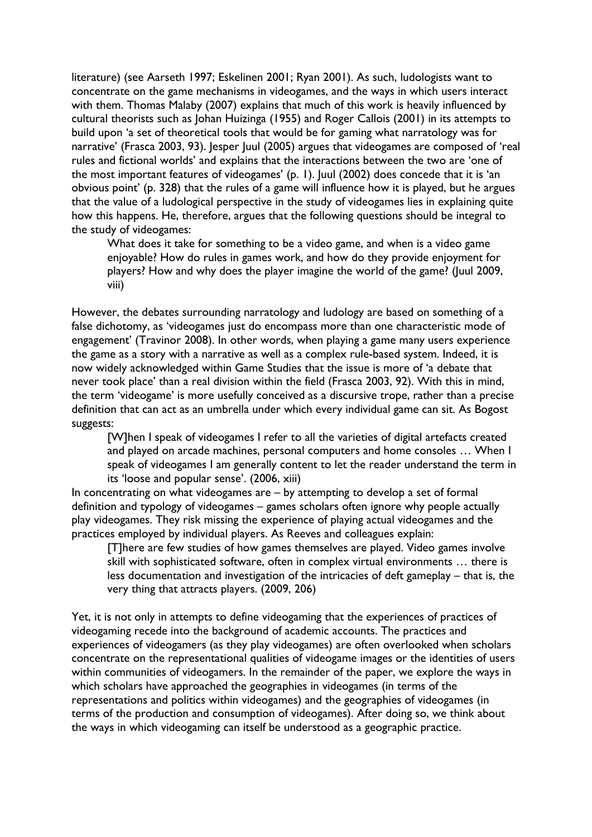literature) (see Aarseth 1997; Eskelinen 2001; Ryan 2001). As such, ludologists want to concentrate on the game mechanisms in videogames, and the ways in which users interact with them. Thomas Malaby (2007) explains that much of this work is heavily influenced by cultural theorists such as Johan Huizinga (1955) and Roger Callois (2001) in its attempts to build upon 'a set of theoretical tools that would be for gaming what narratology was for narrative' (Frasca 2003, 93). Jesper Juul (2005) argues that videogames are composed of 'real rules and fictional worlds' and explains that the interactions between the two are 'one of the most important features of videogames' (p. 1). Juul (2002) does concede that it is 'an obvious point' (p. 328) that the rules of a game will influence how it is played, but he argues that the value of a ludological perspective in the study of videogames lies in explaining quite how this happens. He, therefore, argues that the following questions should be integral to the study of videogames:

What does it take for something to be a video game, and when is a video game enjoyable? How do rules in games work, and how do they provide enjoyment for players? How and why does the player imagine the world of the game? (Juul 2009, viii)

However, the debates surrounding narratology and ludology are based on something of a false dichotomy, as 'videogames just do encompass more than one characteristic mode of engagement' (Travinor 2008). In other words, when playing a game many users experience the game as a story with a narrative as well as a complex rule-based system. Indeed, it is now widely acknowledged within Game Studies that the issue is more of 'a debate that never took place' than a real division within the field (Frasca 2003, 92). With this in mind, the term 'videogame' is more usefully conceived as a discursive trope, rather than a precise definition that can act as an umbrella under which every individual game can sit. As Bogost suggests:

[W]hen I speak of videogames I refer to all the varieties of digital artefacts created and played on arcade machines, personal computers and home consoles … When I speak of videogames I am generally content to let the reader understand the term in its 'loose and popular sense'. (2006, xiii)

In concentrating on what videogames are – by attempting to develop a set of formal definition and typology of videogames – games scholars often ignore why people actually play videogames. They risk missing the experience of playing actual videogames and the practices employed by individual players. As Reeves and colleagues explain:

[T]here are few studies of how games themselves are played. Video games involve skill with sophisticated software, often in complex virtual environments … there is less documentation and investigation of the intricacies of deft gameplay – that is, the very thing that attracts players. (2009, 206)

Yet, it is not only in attempts to define videogaming that the experiences of practices of videogaming recede into the background of academic accounts. The practices and experiences of videogamers (as they play videogames) are often overlooked when scholars concentrate on the representational qualities of videogame images or the identities of users within communities of videogamers. In the remainder of the paper, we explore the ways in which scholars have approached the geographies in videogames (in terms of the representations and politics within videogames) and the geographies of videogames (in terms of the production and consumption of videogames). After doing so, we think about the ways in which videogaming can itself be understood as a geographic practice.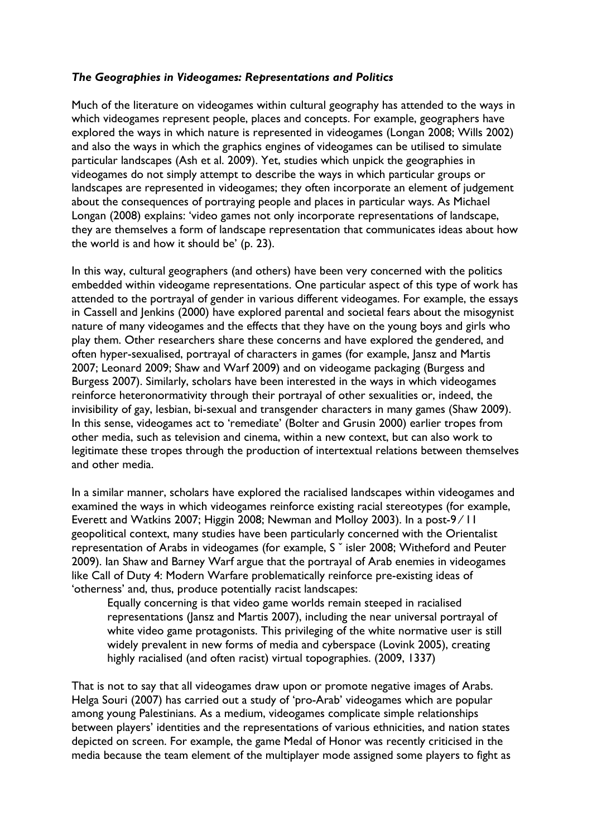#### *The Geographies in Videogames: Representations and Politics*

Much of the literature on videogames within cultural geography has attended to the ways in which videogames represent people, places and concepts. For example, geographers have explored the ways in which nature is represented in videogames (Longan 2008; Wills 2002) and also the ways in which the graphics engines of videogames can be utilised to simulate particular landscapes (Ash et al. 2009). Yet, studies which unpick the geographies in videogames do not simply attempt to describe the ways in which particular groups or landscapes are represented in videogames; they often incorporate an element of judgement about the consequences of portraying people and places in particular ways. As Michael Longan (2008) explains: 'video games not only incorporate representations of landscape, they are themselves a form of landscape representation that communicates ideas about how the world is and how it should be' (p. 23).

In this way, cultural geographers (and others) have been very concerned with the politics embedded within videogame representations. One particular aspect of this type of work has attended to the portrayal of gender in various different videogames. For example, the essays in Cassell and Jenkins (2000) have explored parental and societal fears about the misogynist nature of many videogames and the effects that they have on the young boys and girls who play them. Other researchers share these concerns and have explored the gendered, and often hyper-sexualised, portrayal of characters in games (for example, Jansz and Martis 2007; Leonard 2009; Shaw and Warf 2009) and on videogame packaging (Burgess and Burgess 2007). Similarly, scholars have been interested in the ways in which videogames reinforce heteronormativity through their portrayal of other sexualities or, indeed, the invisibility of gay, lesbian, bi-sexual and transgender characters in many games (Shaw 2009). In this sense, videogames act to 'remediate' (Bolter and Grusin 2000) earlier tropes from other media, such as television and cinema, within a new context, but can also work to legitimate these tropes through the production of intertextual relations between themselves and other media.

In a similar manner, scholars have explored the racialised landscapes within videogames and examined the ways in which videogames reinforce existing racial stereotypes (for example, Everett and Watkins 2007; Higgin 2008; Newman and Molloy 2003). In a post-9/11 geopolitical context, many studies have been particularly concerned with the Orientalist representation of Arabs in videogames (for example, S ˇ isler 2008; Witheford and Peuter 2009). Ian Shaw and Barney Warf argue that the portrayal of Arab enemies in videogames like Call of Duty 4: Modern Warfare problematically reinforce pre-existing ideas of 'otherness' and, thus, produce potentially racist landscapes:

Equally concerning is that video game worlds remain steeped in racialised representations (Jansz and Martis 2007), including the near universal portrayal of white video game protagonists. This privileging of the white normative user is still widely prevalent in new forms of media and cyberspace (Lovink 2005), creating highly racialised (and often racist) virtual topographies. (2009, 1337)

That is not to say that all videogames draw upon or promote negative images of Arabs. Helga Souri (2007) has carried out a study of 'pro-Arab' videogames which are popular among young Palestinians. As a medium, videogames complicate simple relationships between players' identities and the representations of various ethnicities, and nation states depicted on screen. For example, the game Medal of Honor was recently criticised in the media because the team element of the multiplayer mode assigned some players to fight as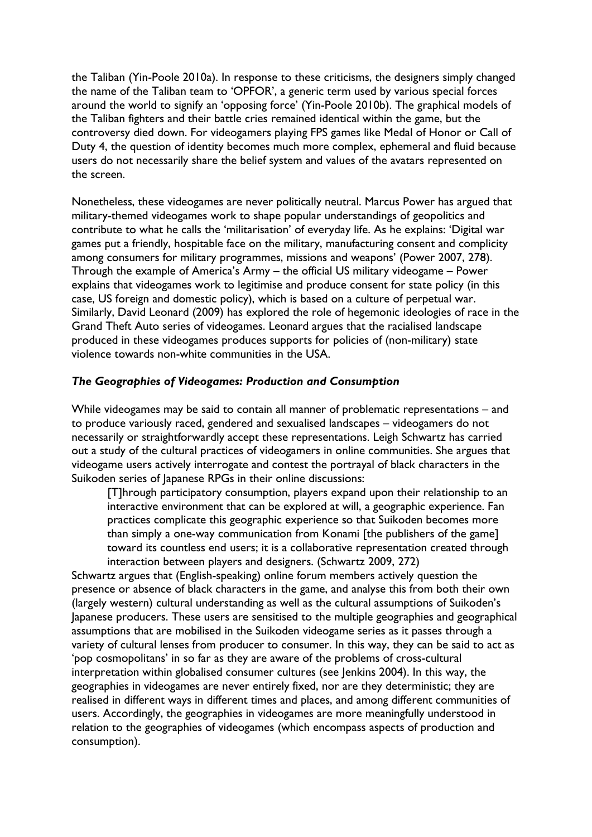the Taliban (Yin-Poole 2010a). In response to these criticisms, the designers simply changed the name of the Taliban team to 'OPFOR', a generic term used by various special forces around the world to signify an 'opposing force' (Yin-Poole 2010b). The graphical models of the Taliban fighters and their battle cries remained identical within the game, but the controversy died down. For videogamers playing FPS games like Medal of Honor or Call of Duty 4, the question of identity becomes much more complex, ephemeral and fluid because users do not necessarily share the belief system and values of the avatars represented on the screen.

Nonetheless, these videogames are never politically neutral. Marcus Power has argued that military-themed videogames work to shape popular understandings of geopolitics and contribute to what he calls the 'militarisation' of everyday life. As he explains: 'Digital war games put a friendly, hospitable face on the military, manufacturing consent and complicity among consumers for military programmes, missions and weapons' (Power 2007, 278). Through the example of America's Army – the official US military videogame – Power explains that videogames work to legitimise and produce consent for state policy (in this case, US foreign and domestic policy), which is based on a culture of perpetual war. Similarly, David Leonard (2009) has explored the role of hegemonic ideologies of race in the Grand Theft Auto series of videogames. Leonard argues that the racialised landscape produced in these videogames produces supports for policies of (non-military) state violence towards non-white communities in the USA.

#### *The Geographies of Videogames: Production and Consumption*

While videogames may be said to contain all manner of problematic representations – and to produce variously raced, gendered and sexualised landscapes – videogamers do not necessarily or straightforwardly accept these representations. Leigh Schwartz has carried out a study of the cultural practices of videogamers in online communities. She argues that videogame users actively interrogate and contest the portrayal of black characters in the Suikoden series of Japanese RPGs in their online discussions:

[T]hrough participatory consumption, players expand upon their relationship to an interactive environment that can be explored at will, a geographic experience. Fan practices complicate this geographic experience so that Suikoden becomes more than simply a one-way communication from Konami [the publishers of the game] toward its countless end users; it is a collaborative representation created through interaction between players and designers. (Schwartz 2009, 272)

Schwartz argues that (English-speaking) online forum members actively question the presence or absence of black characters in the game, and analyse this from both their own (largely western) cultural understanding as well as the cultural assumptions of Suikoden's Japanese producers. These users are sensitised to the multiple geographies and geographical assumptions that are mobilised in the Suikoden videogame series as it passes through a variety of cultural lenses from producer to consumer. In this way, they can be said to act as 'pop cosmopolitans' in so far as they are aware of the problems of cross-cultural interpretation within globalised consumer cultures (see Jenkins 2004). In this way, the geographies in videogames are never entirely fixed, nor are they deterministic; they are realised in different ways in different times and places, and among different communities of users. Accordingly, the geographies in videogames are more meaningfully understood in relation to the geographies of videogames (which encompass aspects of production and consumption).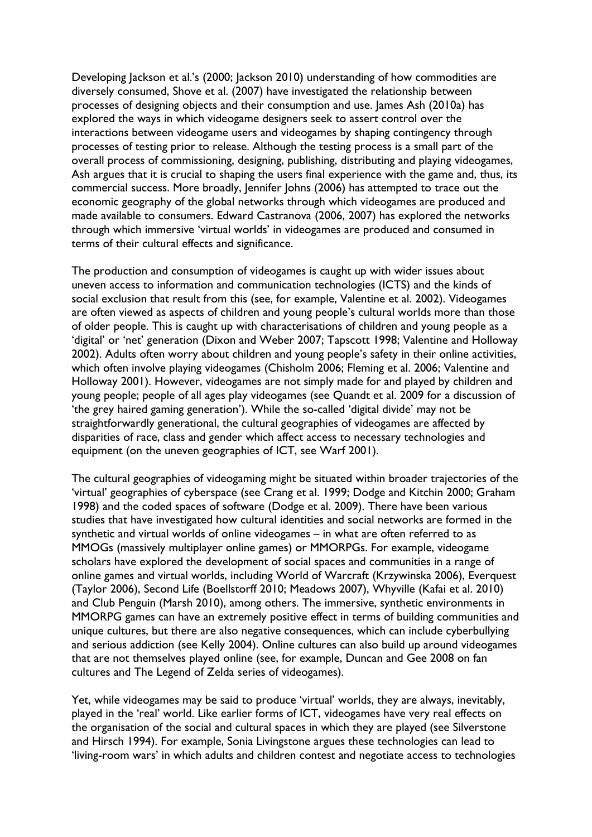Developing Jackson et al.'s (2000; Jackson 2010) understanding of how commodities are diversely consumed, Shove et al. (2007) have investigated the relationship between processes of designing objects and their consumption and use. James Ash (2010a) has explored the ways in which videogame designers seek to assert control over the interactions between videogame users and videogames by shaping contingency through processes of testing prior to release. Although the testing process is a small part of the overall process of commissioning, designing, publishing, distributing and playing videogames, Ash argues that it is crucial to shaping the users final experience with the game and, thus, its commercial success. More broadly, Jennifer Johns (2006) has attempted to trace out the economic geography of the global networks through which videogames are produced and made available to consumers. Edward Castranova (2006, 2007) has explored the networks through which immersive 'virtual worlds' in videogames are produced and consumed in terms of their cultural effects and significance.

The production and consumption of videogames is caught up with wider issues about uneven access to information and communication technologies (ICTS) and the kinds of social exclusion that result from this (see, for example, Valentine et al. 2002). Videogames are often viewed as aspects of children and young people's cultural worlds more than those of older people. This is caught up with characterisations of children and young people as a 'digital' or 'net' generation (Dixon and Weber 2007; Tapscott 1998; Valentine and Holloway 2002). Adults often worry about children and young people's safety in their online activities, which often involve playing videogames (Chisholm 2006; Fleming et al. 2006; Valentine and Holloway 2001). However, videogames are not simply made for and played by children and young people; people of all ages play videogames (see Quandt et al. 2009 for a discussion of 'the grey haired gaming generation'). While the so-called 'digital divide' may not be straightforwardly generational, the cultural geographies of videogames are affected by disparities of race, class and gender which affect access to necessary technologies and equipment (on the uneven geographies of ICT, see Warf 2001).

The cultural geographies of videogaming might be situated within broader trajectories of the 'virtual' geographies of cyberspace (see Crang et al. 1999; Dodge and Kitchin 2000; Graham 1998) and the coded spaces of software (Dodge et al. 2009). There have been various studies that have investigated how cultural identities and social networks are formed in the synthetic and virtual worlds of online videogames – in what are often referred to as MMOGs (massively multiplayer online games) or MMORPGs. For example, videogame scholars have explored the development of social spaces and communities in a range of online games and virtual worlds, including World of Warcraft (Krzywinska 2006), Everquest (Taylor 2006), Second Life (Boellstorff 2010; Meadows 2007), Whyville (Kafai et al. 2010) and Club Penguin (Marsh 2010), among others. The immersive, synthetic environments in MMORPG games can have an extremely positive effect in terms of building communities and unique cultures, but there are also negative consequences, which can include cyberbullying and serious addiction (see Kelly 2004). Online cultures can also build up around videogames that are not themselves played online (see, for example, Duncan and Gee 2008 on fan cultures and The Legend of Zelda series of videogames).

Yet, while videogames may be said to produce 'virtual' worlds, they are always, inevitably, played in the 'real' world. Like earlier forms of ICT, videogames have very real effects on the organisation of the social and cultural spaces in which they are played (see Silverstone and Hirsch 1994). For example, Sonia Livingstone argues these technologies can lead to 'living-room wars' in which adults and children contest and negotiate access to technologies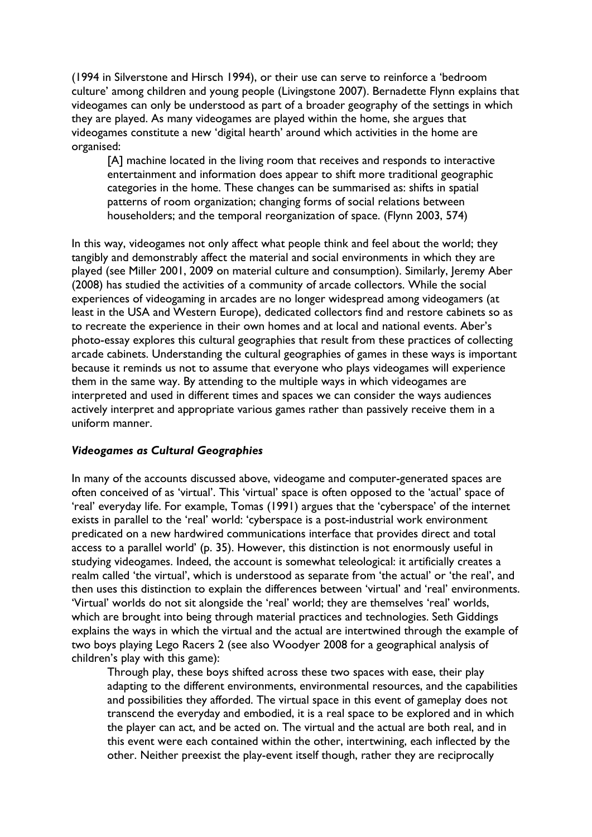(1994 in Silverstone and Hirsch 1994), or their use can serve to reinforce a 'bedroom culture' among children and young people (Livingstone 2007). Bernadette Flynn explains that videogames can only be understood as part of a broader geography of the settings in which they are played. As many videogames are played within the home, she argues that videogames constitute a new 'digital hearth' around which activities in the home are organised:

[A] machine located in the living room that receives and responds to interactive entertainment and information does appear to shift more traditional geographic categories in the home. These changes can be summarised as: shifts in spatial patterns of room organization; changing forms of social relations between householders; and the temporal reorganization of space. (Flynn 2003, 574)

In this way, videogames not only affect what people think and feel about the world; they tangibly and demonstrably affect the material and social environments in which they are played (see Miller 2001, 2009 on material culture and consumption). Similarly, Jeremy Aber (2008) has studied the activities of a community of arcade collectors. While the social experiences of videogaming in arcades are no longer widespread among videogamers (at least in the USA and Western Europe), dedicated collectors find and restore cabinets so as to recreate the experience in their own homes and at local and national events. Aber's photo-essay explores this cultural geographies that result from these practices of collecting arcade cabinets. Understanding the cultural geographies of games in these ways is important because it reminds us not to assume that everyone who plays videogames will experience them in the same way. By attending to the multiple ways in which videogames are interpreted and used in different times and spaces we can consider the ways audiences actively interpret and appropriate various games rather than passively receive them in a uniform manner.

#### *Videogames as Cultural Geographies*

In many of the accounts discussed above, videogame and computer-generated spaces are often conceived of as 'virtual'. This 'virtual' space is often opposed to the 'actual' space of 'real' everyday life. For example, Tomas (1991) argues that the 'cyberspace' of the internet exists in parallel to the 'real' world: 'cyberspace is a post-industrial work environment predicated on a new hardwired communications interface that provides direct and total access to a parallel world' (p. 35). However, this distinction is not enormously useful in studying videogames. Indeed, the account is somewhat teleological: it artificially creates a realm called 'the virtual', which is understood as separate from 'the actual' or 'the real', and then uses this distinction to explain the differences between 'virtual' and 'real' environments. 'Virtual' worlds do not sit alongside the 'real' world; they are themselves 'real' worlds, which are brought into being through material practices and technologies. Seth Giddings explains the ways in which the virtual and the actual are intertwined through the example of two boys playing Lego Racers 2 (see also Woodyer 2008 for a geographical analysis of children's play with this game):

Through play, these boys shifted across these two spaces with ease, their play adapting to the different environments, environmental resources, and the capabilities and possibilities they afforded. The virtual space in this event of gameplay does not transcend the everyday and embodied, it is a real space to be explored and in which the player can act, and be acted on. The virtual and the actual are both real, and in this event were each contained within the other, intertwining, each inflected by the other. Neither preexist the play-event itself though, rather they are reciprocally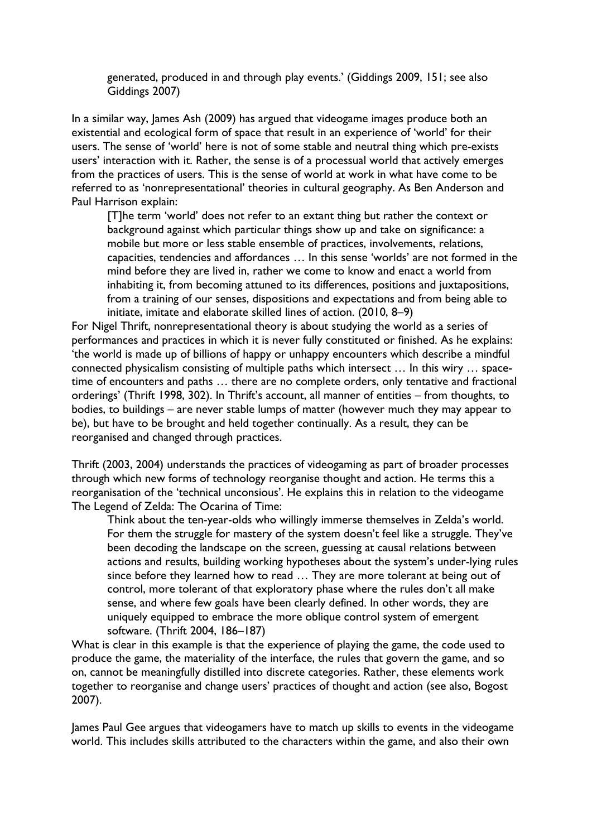generated, produced in and through play events.' (Giddings 2009, 151; see also Giddings 2007)

In a similar way, James Ash (2009) has argued that videogame images produce both an existential and ecological form of space that result in an experience of 'world' for their users. The sense of 'world' here is not of some stable and neutral thing which pre-exists users' interaction with it. Rather, the sense is of a processual world that actively emerges from the practices of users. This is the sense of world at work in what have come to be referred to as 'nonrepresentational' theories in cultural geography. As Ben Anderson and Paul Harrison explain:

[T]he term 'world' does not refer to an extant thing but rather the context or background against which particular things show up and take on significance: a mobile but more or less stable ensemble of practices, involvements, relations, capacities, tendencies and affordances … In this sense 'worlds' are not formed in the mind before they are lived in, rather we come to know and enact a world from inhabiting it, from becoming attuned to its differences, positions and juxtapositions, from a training of our senses, dispositions and expectations and from being able to initiate, imitate and elaborate skilled lines of action. (2010, 8–9)

For Nigel Thrift, nonrepresentational theory is about studying the world as a series of performances and practices in which it is never fully constituted or finished. As he explains: 'the world is made up of billions of happy or unhappy encounters which describe a mindful connected physicalism consisting of multiple paths which intersect … In this wiry … spacetime of encounters and paths … there are no complete orders, only tentative and fractional orderings' (Thrift 1998, 302). In Thrift's account, all manner of entities – from thoughts, to bodies, to buildings – are never stable lumps of matter (however much they may appear to be), but have to be brought and held together continually. As a result, they can be reorganised and changed through practices.

Thrift (2003, 2004) understands the practices of videogaming as part of broader processes through which new forms of technology reorganise thought and action. He terms this a reorganisation of the 'technical unconsious'. He explains this in relation to the videogame The Legend of Zelda: The Ocarina of Time:

Think about the ten-year-olds who willingly immerse themselves in Zelda's world. For them the struggle for mastery of the system doesn't feel like a struggle. They've been decoding the landscape on the screen, guessing at causal relations between actions and results, building working hypotheses about the system's under-lying rules since before they learned how to read … They are more tolerant at being out of control, more tolerant of that exploratory phase where the rules don't all make sense, and where few goals have been clearly defined. In other words, they are uniquely equipped to embrace the more oblique control system of emergent software. (Thrift 2004, 186–187)

What is clear in this example is that the experience of playing the game, the code used to produce the game, the materiality of the interface, the rules that govern the game, and so on, cannot be meaningfully distilled into discrete categories. Rather, these elements work together to reorganise and change users' practices of thought and action (see also, Bogost 2007).

James Paul Gee argues that videogamers have to match up skills to events in the videogame world. This includes skills attributed to the characters within the game, and also their own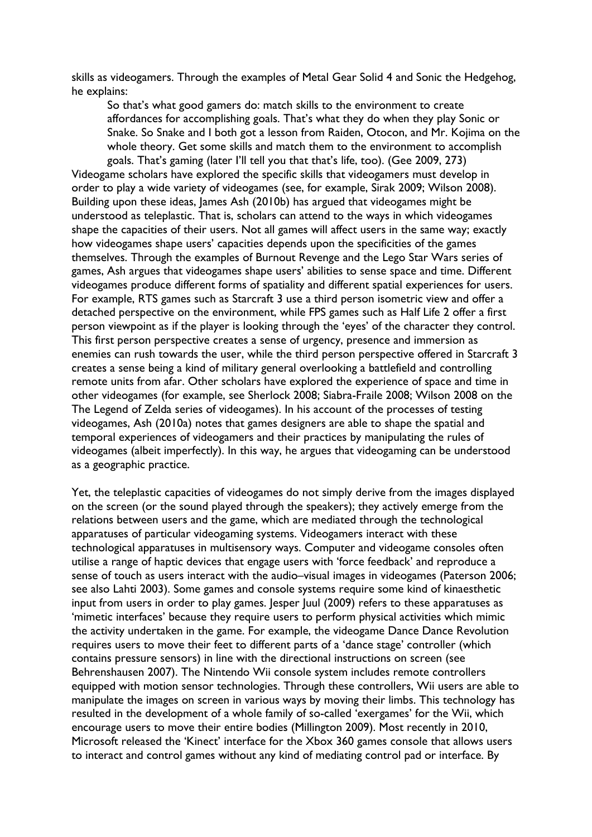skills as videogamers. Through the examples of Metal Gear Solid 4 and Sonic the Hedgehog, he explains:

So that's what good gamers do: match skills to the environment to create affordances for accomplishing goals. That's what they do when they play Sonic or Snake. So Snake and I both got a lesson from Raiden, Otocon, and Mr. Kojima on the whole theory. Get some skills and match them to the environment to accomplish goals. That's gaming (later I'll tell you that that's life, too). (Gee 2009, 273)

Videogame scholars have explored the specific skills that videogamers must develop in order to play a wide variety of videogames (see, for example, Sirak 2009; Wilson 2008). Building upon these ideas, James Ash (2010b) has argued that videogames might be understood as teleplastic. That is, scholars can attend to the ways in which videogames shape the capacities of their users. Not all games will affect users in the same way; exactly how videogames shape users' capacities depends upon the specificities of the games themselves. Through the examples of Burnout Revenge and the Lego Star Wars series of games, Ash argues that videogames shape users' abilities to sense space and time. Different videogames produce different forms of spatiality and different spatial experiences for users. For example, RTS games such as Starcraft 3 use a third person isometric view and offer a detached perspective on the environment, while FPS games such as Half Life 2 offer a first person viewpoint as if the player is looking through the 'eyes' of the character they control. This first person perspective creates a sense of urgency, presence and immersion as enemies can rush towards the user, while the third person perspective offered in Starcraft 3 creates a sense being a kind of military general overlooking a battlefield and controlling remote units from afar. Other scholars have explored the experience of space and time in other videogames (for example, see Sherlock 2008; Siabra-Fraile 2008; Wilson 2008 on the The Legend of Zelda series of videogames). In his account of the processes of testing videogames, Ash (2010a) notes that games designers are able to shape the spatial and temporal experiences of videogamers and their practices by manipulating the rules of videogames (albeit imperfectly). In this way, he argues that videogaming can be understood as a geographic practice.

Yet, the teleplastic capacities of videogames do not simply derive from the images displayed on the screen (or the sound played through the speakers); they actively emerge from the relations between users and the game, which are mediated through the technological apparatuses of particular videogaming systems. Videogamers interact with these technological apparatuses in multisensory ways. Computer and videogame consoles often utilise a range of haptic devices that engage users with 'force feedback' and reproduce a sense of touch as users interact with the audio–visual images in videogames (Paterson 2006; see also Lahti 2003). Some games and console systems require some kind of kinaesthetic input from users in order to play games. Jesper Juul (2009) refers to these apparatuses as 'mimetic interfaces' because they require users to perform physical activities which mimic the activity undertaken in the game. For example, the videogame Dance Dance Revolution requires users to move their feet to different parts of a 'dance stage' controller (which contains pressure sensors) in line with the directional instructions on screen (see Behrenshausen 2007). The Nintendo Wii console system includes remote controllers equipped with motion sensor technologies. Through these controllers, Wii users are able to manipulate the images on screen in various ways by moving their limbs. This technology has resulted in the development of a whole family of so-called 'exergames' for the Wii, which encourage users to move their entire bodies (Millington 2009). Most recently in 2010, Microsoft released the 'Kinect' interface for the Xbox 360 games console that allows users to interact and control games without any kind of mediating control pad or interface. By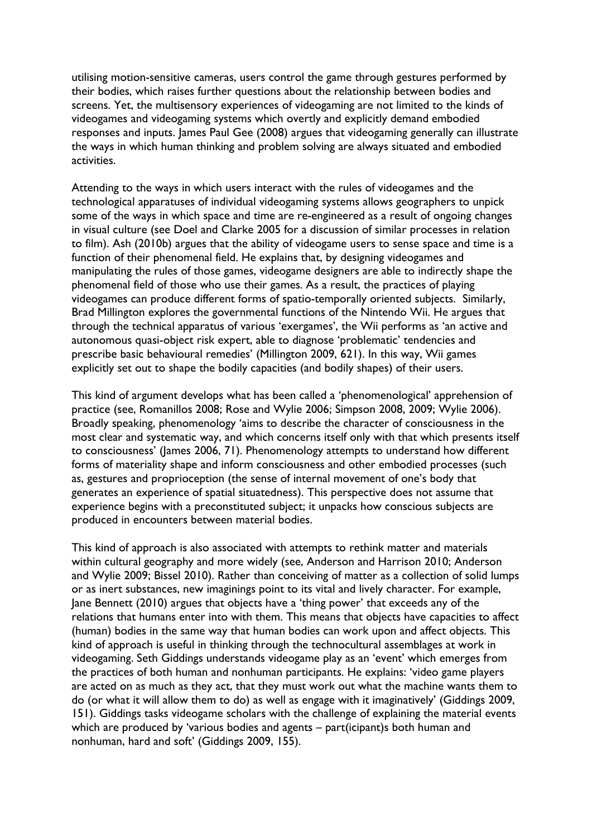utilising motion-sensitive cameras, users control the game through gestures performed by their bodies, which raises further questions about the relationship between bodies and screens. Yet, the multisensory experiences of videogaming are not limited to the kinds of videogames and videogaming systems which overtly and explicitly demand embodied responses and inputs. James Paul Gee (2008) argues that videogaming generally can illustrate the ways in which human thinking and problem solving are always situated and embodied activities.

Attending to the ways in which users interact with the rules of videogames and the technological apparatuses of individual videogaming systems allows geographers to unpick some of the ways in which space and time are re-engineered as a result of ongoing changes in visual culture (see Doel and Clarke 2005 for a discussion of similar processes in relation to film). Ash (2010b) argues that the ability of videogame users to sense space and time is a function of their phenomenal field. He explains that, by designing videogames and manipulating the rules of those games, videogame designers are able to indirectly shape the phenomenal field of those who use their games. As a result, the practices of playing videogames can produce different forms of spatio-temporally oriented subjects. Similarly, Brad Millington explores the governmental functions of the Nintendo Wii. He argues that through the technical apparatus of various 'exergames', the Wii performs as 'an active and autonomous quasi-object risk expert, able to diagnose 'problematic' tendencies and prescribe basic behavioural remedies' (Millington 2009, 621). In this way, Wii games explicitly set out to shape the bodily capacities (and bodily shapes) of their users.

This kind of argument develops what has been called a 'phenomenological' apprehension of practice (see, Romanillos 2008; Rose and Wylie 2006; Simpson 2008, 2009; Wylie 2006). Broadly speaking, phenomenology 'aims to describe the character of consciousness in the most clear and systematic way, and which concerns itself only with that which presents itself to consciousness' (James 2006, 71). Phenomenology attempts to understand how different forms of materiality shape and inform consciousness and other embodied processes (such as, gestures and proprioception (the sense of internal movement of one's body that generates an experience of spatial situatedness). This perspective does not assume that experience begins with a preconstituted subject; it unpacks how conscious subjects are produced in encounters between material bodies.

This kind of approach is also associated with attempts to rethink matter and materials within cultural geography and more widely (see, Anderson and Harrison 2010; Anderson and Wylie 2009; Bissel 2010). Rather than conceiving of matter as a collection of solid lumps or as inert substances, new imaginings point to its vital and lively character. For example, Jane Bennett (2010) argues that objects have a 'thing power' that exceeds any of the relations that humans enter into with them. This means that objects have capacities to affect (human) bodies in the same way that human bodies can work upon and affect objects. This kind of approach is useful in thinking through the technocultural assemblages at work in videogaming. Seth Giddings understands videogame play as an 'event' which emerges from the practices of both human and nonhuman participants. He explains: 'video game players are acted on as much as they act, that they must work out what the machine wants them to do (or what it will allow them to do) as well as engage with it imaginatively' (Giddings 2009, 151). Giddings tasks videogame scholars with the challenge of explaining the material events which are produced by 'various bodies and agents – part(icipant)s both human and nonhuman, hard and soft' (Giddings 2009, 155).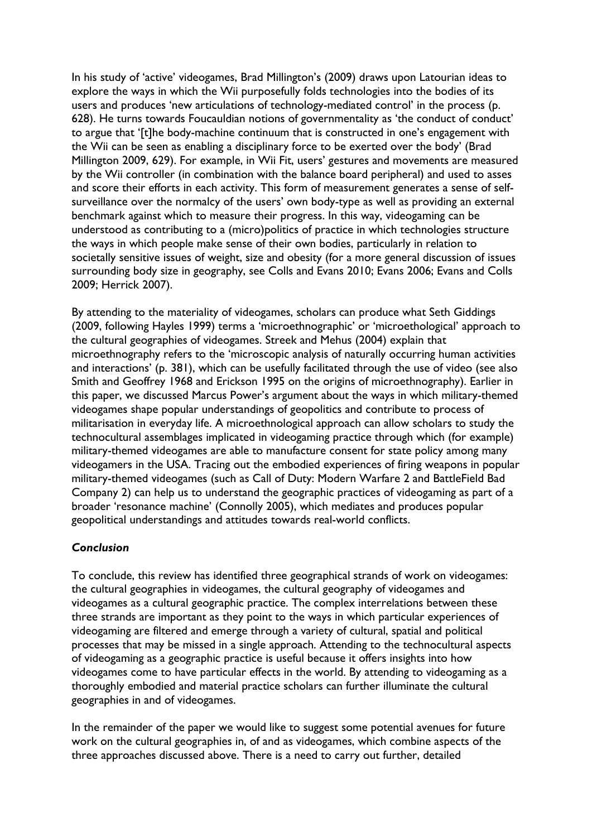In his study of 'active' videogames, Brad Millington's (2009) draws upon Latourian ideas to explore the ways in which the Wii purposefully folds technologies into the bodies of its users and produces 'new articulations of technology-mediated control' in the process (p. 628). He turns towards Foucauldian notions of governmentality as 'the conduct of conduct' to argue that '[t]he body-machine continuum that is constructed in one's engagement with the Wii can be seen as enabling a disciplinary force to be exerted over the body' (Brad Millington 2009, 629). For example, in Wii Fit, users' gestures and movements are measured by the Wii controller (in combination with the balance board peripheral) and used to asses and score their efforts in each activity. This form of measurement generates a sense of selfsurveillance over the normalcy of the users' own body-type as well as providing an external benchmark against which to measure their progress. In this way, videogaming can be understood as contributing to a (micro)politics of practice in which technologies structure the ways in which people make sense of their own bodies, particularly in relation to societally sensitive issues of weight, size and obesity (for a more general discussion of issues surrounding body size in geography, see Colls and Evans 2010; Evans 2006; Evans and Colls 2009; Herrick 2007).

By attending to the materiality of videogames, scholars can produce what Seth Giddings (2009, following Hayles 1999) terms a 'microethnographic' or 'microethological' approach to the cultural geographies of videogames. Streek and Mehus (2004) explain that microethnography refers to the 'microscopic analysis of naturally occurring human activities and interactions' (p. 381), which can be usefully facilitated through the use of video (see also Smith and Geoffrey 1968 and Erickson 1995 on the origins of microethnography). Earlier in this paper, we discussed Marcus Power's argument about the ways in which military-themed videogames shape popular understandings of geopolitics and contribute to process of militarisation in everyday life. A microethnological approach can allow scholars to study the technocultural assemblages implicated in videogaming practice through which (for example) military-themed videogames are able to manufacture consent for state policy among many videogamers in the USA. Tracing out the embodied experiences of firing weapons in popular military-themed videogames (such as Call of Duty: Modern Warfare 2 and BattleField Bad Company 2) can help us to understand the geographic practices of videogaming as part of a broader 'resonance machine' (Connolly 2005), which mediates and produces popular geopolitical understandings and attitudes towards real-world conflicts.

## *Conclusion*

To conclude, this review has identified three geographical strands of work on videogames: the cultural geographies in videogames, the cultural geography of videogames and videogames as a cultural geographic practice. The complex interrelations between these three strands are important as they point to the ways in which particular experiences of videogaming are filtered and emerge through a variety of cultural, spatial and political processes that may be missed in a single approach. Attending to the technocultural aspects of videogaming as a geographic practice is useful because it offers insights into how videogames come to have particular effects in the world. By attending to videogaming as a thoroughly embodied and material practice scholars can further illuminate the cultural geographies in and of videogames.

In the remainder of the paper we would like to suggest some potential avenues for future work on the cultural geographies in, of and as videogames, which combine aspects of the three approaches discussed above. There is a need to carry out further, detailed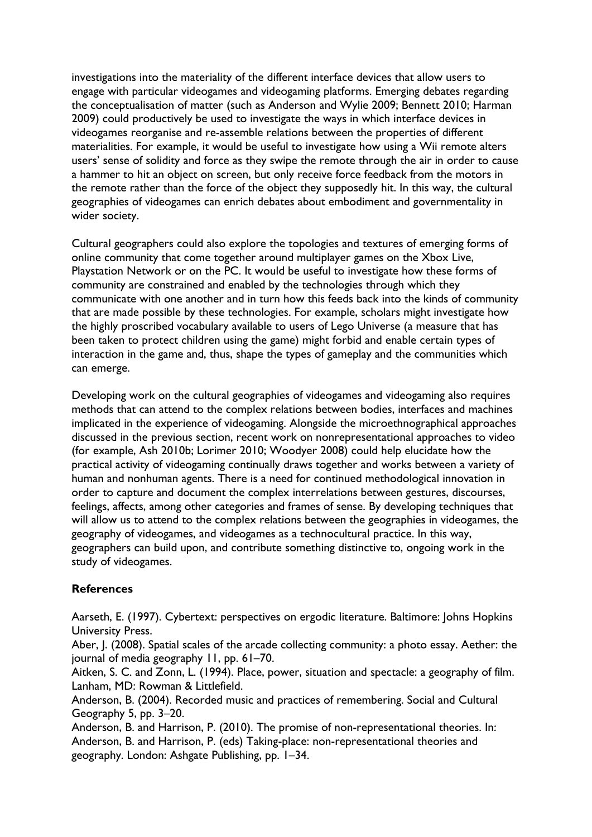investigations into the materiality of the different interface devices that allow users to engage with particular videogames and videogaming platforms. Emerging debates regarding the conceptualisation of matter (such as Anderson and Wylie 2009; Bennett 2010; Harman 2009) could productively be used to investigate the ways in which interface devices in videogames reorganise and re-assemble relations between the properties of different materialities. For example, it would be useful to investigate how using a Wii remote alters users' sense of solidity and force as they swipe the remote through the air in order to cause a hammer to hit an object on screen, but only receive force feedback from the motors in the remote rather than the force of the object they supposedly hit. In this way, the cultural geographies of videogames can enrich debates about embodiment and governmentality in wider society.

Cultural geographers could also explore the topologies and textures of emerging forms of online community that come together around multiplayer games on the Xbox Live, Playstation Network or on the PC. It would be useful to investigate how these forms of community are constrained and enabled by the technologies through which they communicate with one another and in turn how this feeds back into the kinds of community that are made possible by these technologies. For example, scholars might investigate how the highly proscribed vocabulary available to users of Lego Universe (a measure that has been taken to protect children using the game) might forbid and enable certain types of interaction in the game and, thus, shape the types of gameplay and the communities which can emerge.

Developing work on the cultural geographies of videogames and videogaming also requires methods that can attend to the complex relations between bodies, interfaces and machines implicated in the experience of videogaming. Alongside the microethnographical approaches discussed in the previous section, recent work on nonrepresentational approaches to video (for example, Ash 2010b; Lorimer 2010; Woodyer 2008) could help elucidate how the practical activity of videogaming continually draws together and works between a variety of human and nonhuman agents. There is a need for continued methodological innovation in order to capture and document the complex interrelations between gestures, discourses, feelings, affects, among other categories and frames of sense. By developing techniques that will allow us to attend to the complex relations between the geographies in videogames, the geography of videogames, and videogames as a technocultural practice. In this way, geographers can build upon, and contribute something distinctive to, ongoing work in the study of videogames.

#### **References**

Aarseth, E. (1997). Cybertext: perspectives on ergodic literature. Baltimore: Johns Hopkins University Press.

Aber, J. (2008). Spatial scales of the arcade collecting community: a photo essay. Aether: the journal of media geography 11, pp. 61–70.

Aitken, S. C. and Zonn, L. (1994). Place, power, situation and spectacle: a geography of film. Lanham, MD: Rowman & Littlefield.

Anderson, B. (2004). Recorded music and practices of remembering. Social and Cultural Geography 5, pp. 3–20.

Anderson, B. and Harrison, P. (2010). The promise of non-representational theories. In: Anderson, B. and Harrison, P. (eds) Taking-place: non-representational theories and geography. London: Ashgate Publishing, pp. 1–34.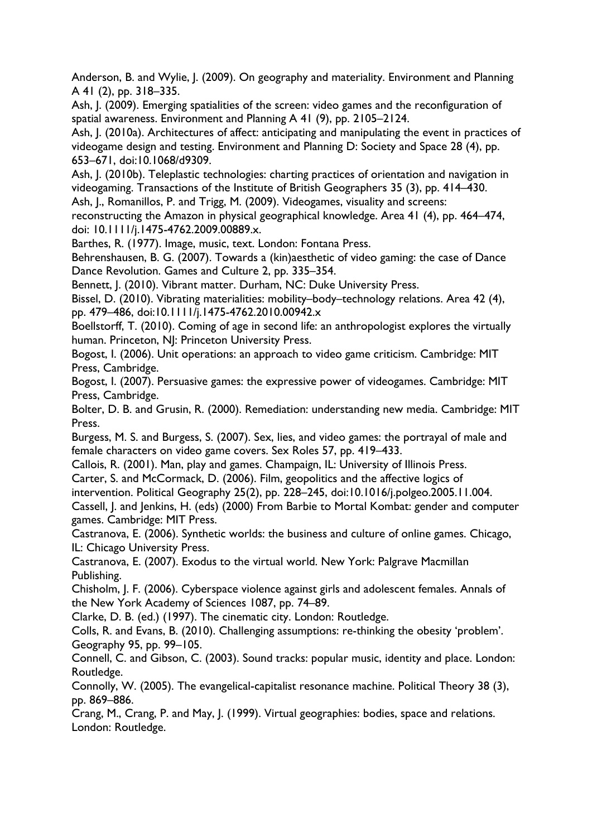Anderson, B. and Wylie, J. (2009). On geography and materiality. Environment and Planning A 41 (2), pp. 318–335.

Ash, J. (2009). Emerging spatialities of the screen: video games and the reconfiguration of spatial awareness. Environment and Planning A 41 (9), pp. 2105–2124.

Ash, J. (2010a). Architectures of affect: anticipating and manipulating the event in practices of videogame design and testing. Environment and Planning D: Society and Space 28 (4), pp. 653–671, doi:10.1068/d9309.

Ash, J. (2010b). Teleplastic technologies: charting practices of orientation and navigation in videogaming. Transactions of the Institute of British Geographers 35 (3), pp. 414–430. Ash, J., Romanillos, P. and Trigg, M. (2009). Videogames, visuality and screens:

reconstructing the Amazon in physical geographical knowledge. Area 41 (4), pp. 464–474, doi: 10.1111/j.1475-4762.2009.00889.x.

Barthes, R. (1977). Image, music, text. London: Fontana Press.

Behrenshausen, B. G. (2007). Towards a (kin)aesthetic of video gaming: the case of Dance Dance Revolution. Games and Culture 2, pp. 335–354.

Bennett, J. (2010). Vibrant matter. Durham, NC: Duke University Press.

Bissel, D. (2010). Vibrating materialities: mobility–body–technology relations. Area 42 (4), pp. 479–486, doi:10.1111/j.1475-4762.2010.00942.x

Boellstorff, T. (2010). Coming of age in second life: an anthropologist explores the virtually human. Princeton, NJ: Princeton University Press.

Bogost, I. (2006). Unit operations: an approach to video game criticism. Cambridge: MIT Press, Cambridge.

Bogost, I. (2007). Persuasive games: the expressive power of videogames. Cambridge: MIT Press, Cambridge.

Bolter, D. B. and Grusin, R. (2000). Remediation: understanding new media. Cambridge: MIT Press.

Burgess, M. S. and Burgess, S. (2007). Sex, lies, and video games: the portrayal of male and female characters on video game covers. Sex Roles 57, pp. 419–433.

Callois, R. (2001). Man, play and games. Champaign, IL: University of Illinois Press. Carter, S. and McCormack, D. (2006). Film, geopolitics and the affective logics of

intervention. Political Geography 25(2), pp. 228–245, doi:10.1016/j.polgeo.2005.11.004.

Cassell, J. and Jenkins, H. (eds) (2000) From Barbie to Mortal Kombat: gender and computer games. Cambridge: MIT Press.

Castranova, E. (2006). Synthetic worlds: the business and culture of online games. Chicago, IL: Chicago University Press.

Castranova, E. (2007). Exodus to the virtual world. New York: Palgrave Macmillan Publishing.

Chisholm, J. F. (2006). Cyberspace violence against girls and adolescent females. Annals of the New York Academy of Sciences 1087, pp. 74–89.

Clarke, D. B. (ed.) (1997). The cinematic city. London: Routledge.

Colls, R. and Evans, B. (2010). Challenging assumptions: re-thinking the obesity 'problem'. Geography 95, pp. 99–105.

Connell, C. and Gibson, C. (2003). Sound tracks: popular music, identity and place. London: Routledge.

Connolly, W. (2005). The evangelical-capitalist resonance machine. Political Theory 38 (3), pp. 869–886.

Crang, M., Crang, P. and May, J. (1999). Virtual geographies: bodies, space and relations. London: Routledge.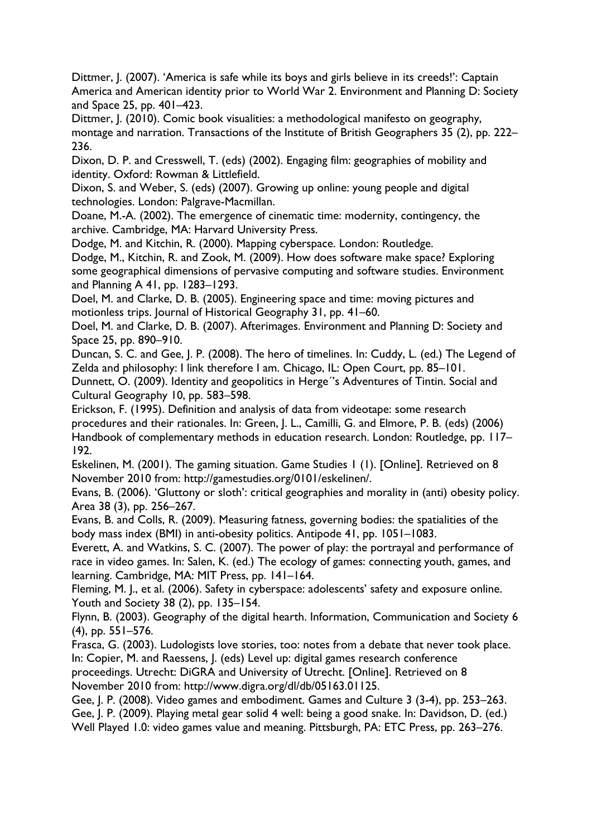Dittmer, J. (2007). 'America is safe while its boys and girls believe in its creeds!': Captain America and American identity prior to World War 2. Environment and Planning D: Society and Space 25, pp. 401–423.

Dittmer, J. (2010). Comic book visualities: a methodological manifesto on geography, montage and narration. Transactions of the Institute of British Geographers 35 (2), pp. 222– 236.

Dixon, D. P. and Cresswell, T. (eds) (2002). Engaging film: geographies of mobility and identity. Oxford: Rowman & Littlefield.

Dixon, S. and Weber, S. (eds) (2007). Growing up online: young people and digital technologies. London: Palgrave-Macmillan.

Doane, M.-A. (2002). The emergence of cinematic time: modernity, contingency, the archive. Cambridge, MA: Harvard University Press.

Dodge, M. and Kitchin, R. (2000). Mapping cyberspace. London: Routledge. Dodge, M., Kitchin, R. and Zook, M. (2009). How does software make space? Exploring some geographical dimensions of pervasive computing and software studies. Environment and Planning A 41, pp. 1283–1293.

Doel, M. and Clarke, D. B. (2005). Engineering space and time: moving pictures and motionless trips. Journal of Historical Geography 31, pp. 41–60.

Doel, M. and Clarke, D. B. (2007). Afterimages. Environment and Planning D: Society and Space 25, pp. 890–910.

Duncan, S. C. and Gee, J. P. (2008). The hero of timelines. In: Cuddy, L. (ed.) The Legend of Zelda and philosophy: I link therefore I am. Chicago, IL: Open Court, pp. 85–101.

Dunnett, O. (2009). Identity and geopolitics in Herge´'s Adventures of Tintin. Social and Cultural Geography 10, pp. 583–598.

Erickson, F. (1995). Definition and analysis of data from videotape: some research procedures and their rationales. In: Green, J. L., Camilli, G. and Elmore, P. B. (eds) (2006) Handbook of complementary methods in education research. London: Routledge, pp. 117– 192.

Eskelinen, M. (2001). The gaming situation. Game Studies 1 (1). [Online]. Retrieved on 8 November 2010 from: http://gamestudies.org/0101/eskelinen/.

Evans, B. (2006). 'Gluttony or sloth': critical geographies and morality in (anti) obesity policy. Area 38 (3), pp. 256–267.

Evans, B. and Colls, R. (2009). Measuring fatness, governing bodies: the spatialities of the body mass index (BMI) in anti-obesity politics. Antipode 41, pp. 1051–1083.

Everett, A. and Watkins, S. C. (2007). The power of play: the portrayal and performance of race in video games. In: Salen, K. (ed.) The ecology of games: connecting youth, games, and learning. Cambridge, MA: MIT Press, pp. 141–164.

Fleming, M. J., et al. (2006). Safety in cyberspace: adolescents' safety and exposure online. Youth and Society 38 (2), pp. 135–154.

Flynn, B. (2003). Geography of the digital hearth. Information, Communication and Society 6 (4), pp. 551–576.

Frasca, G. (2003). Ludologists love stories, too: notes from a debate that never took place. In: Copier, M. and Raessens, J. (eds) Level up: digital games research conference

proceedings. Utrecht: DiGRA and University of Utrecht. [Online]. Retrieved on 8 November 2010 from: http://www.digra.org/dl/db/05163.01125.

Gee, J. P. (2008). Video games and embodiment. Games and Culture 3 (3-4), pp. 253–263. Gee, J. P. (2009). Playing metal gear solid 4 well: being a good snake. In: Davidson, D. (ed.) Well Played 1.0: video games value and meaning. Pittsburgh, PA: ETC Press, pp. 263–276.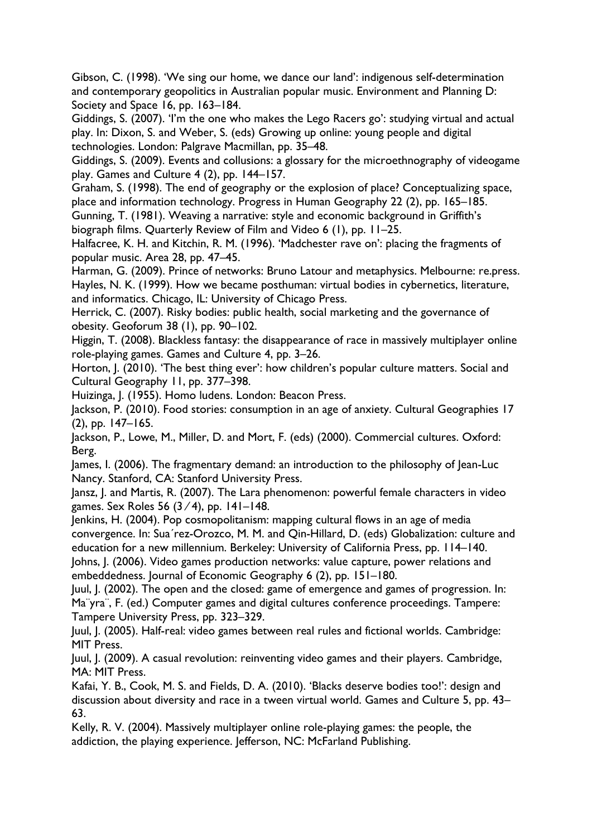Gibson, C. (1998). 'We sing our home, we dance our land': indigenous self-determination and contemporary geopolitics in Australian popular music. Environment and Planning D: Society and Space 16, pp. 163–184.

Giddings, S. (2007). 'I'm the one who makes the Lego Racers go': studying virtual and actual play. In: Dixon, S. and Weber, S. (eds) Growing up online: young people and digital technologies. London: Palgrave Macmillan, pp. 35–48.

Giddings, S. (2009). Events and collusions: a glossary for the microethnography of videogame play. Games and Culture 4 (2), pp. 144–157.

Graham, S. (1998). The end of geography or the explosion of place? Conceptualizing space, place and information technology. Progress in Human Geography 22 (2), pp. 165–185.

Gunning, T. (1981). Weaving a narrative: style and economic background in Griffith's biograph films. Quarterly Review of Film and Video 6 (1), pp. 11–25.

Halfacree, K. H. and Kitchin, R. M. (1996). 'Madchester rave on': placing the fragments of popular music. Area 28, pp. 47–45.

Harman, G. (2009). Prince of networks: Bruno Latour and metaphysics. Melbourne: re.press. Hayles, N. K. (1999). How we became posthuman: virtual bodies in cybernetics, literature, and informatics. Chicago, IL: University of Chicago Press.

Herrick, C. (2007). Risky bodies: public health, social marketing and the governance of obesity. Geoforum 38 (1), pp. 90–102.

Higgin, T. (2008). Blackless fantasy: the disappearance of race in massively multiplayer online role-playing games. Games and Culture 4, pp. 3–26.

Horton, J. (2010). 'The best thing ever': how children's popular culture matters. Social and Cultural Geography 11, pp. 377–398.

Huizinga, J. (1955). Homo ludens. London: Beacon Press.

Jackson, P. (2010). Food stories: consumption in an age of anxiety. Cultural Geographies 17 (2), pp. 147–165.

Jackson, P., Lowe, M., Miller, D. and Mort, F. (eds) (2000). Commercial cultures. Oxford: Berg.

James, I. (2006). The fragmentary demand: an introduction to the philosophy of Jean-Luc Nancy. Stanford, CA: Stanford University Press.

Jansz, J. and Martis, R. (2007). The Lara phenomenon: powerful female characters in video games. Sex Roles 56 (3 ⁄ 4), pp. 141–148.

Jenkins, H. (2004). Pop cosmopolitanism: mapping cultural flows in an age of media convergence. In: Sua´rez-Orozco, M. M. and Qin-Hillard, D. (eds) Globalization: culture and education for a new millennium. Berkeley: University of California Press, pp. 114–140.

Johns, J. (2006). Video games production networks: value capture, power relations and embeddedness. Journal of Economic Geography 6 (2), pp. 151–180.

Juul, J. (2002). The open and the closed: game of emergence and games of progression. In: Ma¨yra¨, F. (ed.) Computer games and digital cultures conference proceedings. Tampere: Tampere University Press, pp. 323–329.

Juul, J. (2005). Half-real: video games between real rules and fictional worlds. Cambridge: MIT Press.

Juul, J. (2009). A casual revolution: reinventing video games and their players. Cambridge, MA: MIT Press.

Kafai, Y. B., Cook, M. S. and Fields, D. A. (2010). 'Blacks deserve bodies too!': design and discussion about diversity and race in a tween virtual world. Games and Culture 5, pp. 43– 63.

Kelly, R. V. (2004). Massively multiplayer online role-playing games: the people, the addiction, the playing experience. Jefferson, NC: McFarland Publishing.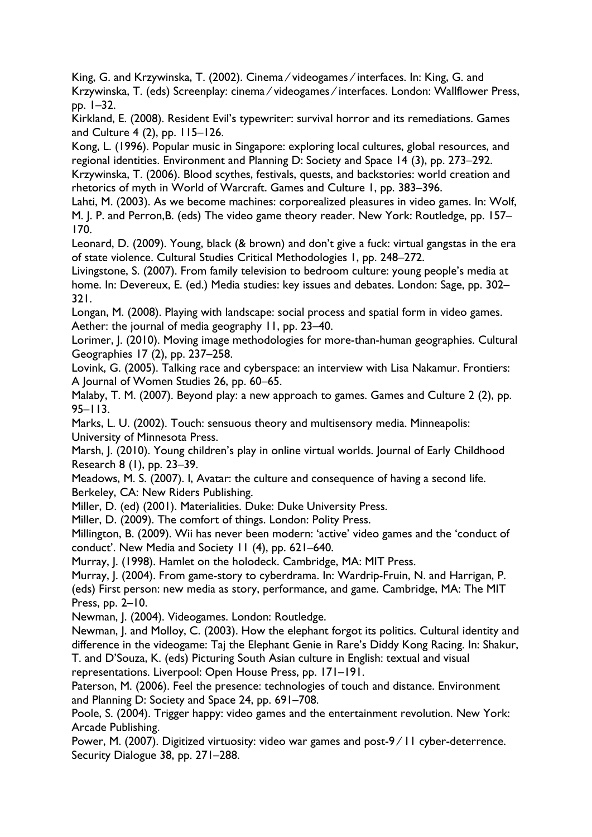King, G. and Krzywinska, T. (2002). Cinema ⁄ videogames ⁄ interfaces. In: King, G. and Krzywinska, T. (eds) Screenplay: cinema ⁄ videogames ⁄ interfaces. London: Wallflower Press, pp. 1–32.

Kirkland, E. (2008). Resident Evil's typewriter: survival horror and its remediations. Games and Culture 4 (2), pp. 115–126.

Kong, L. (1996). Popular music in Singapore: exploring local cultures, global resources, and regional identities. Environment and Planning D: Society and Space 14 (3), pp. 273–292.

Krzywinska, T. (2006). Blood scythes, festivals, quests, and backstories: world creation and rhetorics of myth in World of Warcraft. Games and Culture 1, pp. 383–396.

Lahti, M. (2003). As we become machines: corporealized pleasures in video games. In: Wolf, M. J. P. and Perron,B. (eds) The video game theory reader. New York: Routledge, pp. 157– 170.

Leonard, D. (2009). Young, black (& brown) and don't give a fuck: virtual gangstas in the era of state violence. Cultural Studies Critical Methodologies 1, pp. 248–272.

Livingstone, S. (2007). From family television to bedroom culture: young people's media at home. In: Devereux, E. (ed.) Media studies: key issues and debates. London: Sage, pp. 302– 321.

Longan, M. (2008). Playing with landscape: social process and spatial form in video games. Aether: the journal of media geography 11, pp. 23–40.

Lorimer, J. (2010). Moving image methodologies for more-than-human geographies. Cultural Geographies 17 (2), pp. 237–258.

Lovink, G. (2005). Talking race and cyberspace: an interview with Lisa Nakamur. Frontiers: A Journal of Women Studies 26, pp. 60–65.

Malaby, T. M. (2007). Beyond play: a new approach to games. Games and Culture 2 (2), pp. 95–113.

Marks, L. U. (2002). Touch: sensuous theory and multisensory media. Minneapolis: University of Minnesota Press.

Marsh, J. (2010). Young children's play in online virtual worlds. Journal of Early Childhood Research 8 (1), pp. 23–39.

Meadows, M. S. (2007). I, Avatar: the culture and consequence of having a second life. Berkeley, CA: New Riders Publishing.

Miller, D. (ed) (2001). Materialities. Duke: Duke University Press.

Miller, D. (2009). The comfort of things. London: Polity Press.

Millington, B. (2009). Wii has never been modern: 'active' video games and the 'conduct of conduct'. New Media and Society 11 (4), pp. 621–640.

Murray, J. (1998). Hamlet on the holodeck. Cambridge, MA: MIT Press.

Murray, J. (2004). From game-story to cyberdrama. In: Wardrip-Fruin, N. and Harrigan, P.

(eds) First person: new media as story, performance, and game. Cambridge, MA: The MIT Press, pp. 2–10.

Newman, J. (2004). Videogames. London: Routledge.

Newman, J. and Molloy, C. (2003). How the elephant forgot its politics. Cultural identity and difference in the videogame: Taj the Elephant Genie in Rare's Diddy Kong Racing. In: Shakur, T. and D'Souza, K. (eds) Picturing South Asian culture in English: textual and visual

representations. Liverpool: Open House Press, pp. 171–191.

Paterson, M. (2006). Feel the presence: technologies of touch and distance. Environment and Planning D: Society and Space 24, pp. 691–708.

Poole, S. (2004). Trigger happy: video games and the entertainment revolution. New York: Arcade Publishing.

Power, M. (2007). Digitized virtuosity: video war games and post-9 ⁄ 11 cyber-deterrence. Security Dialogue 38, pp. 271–288.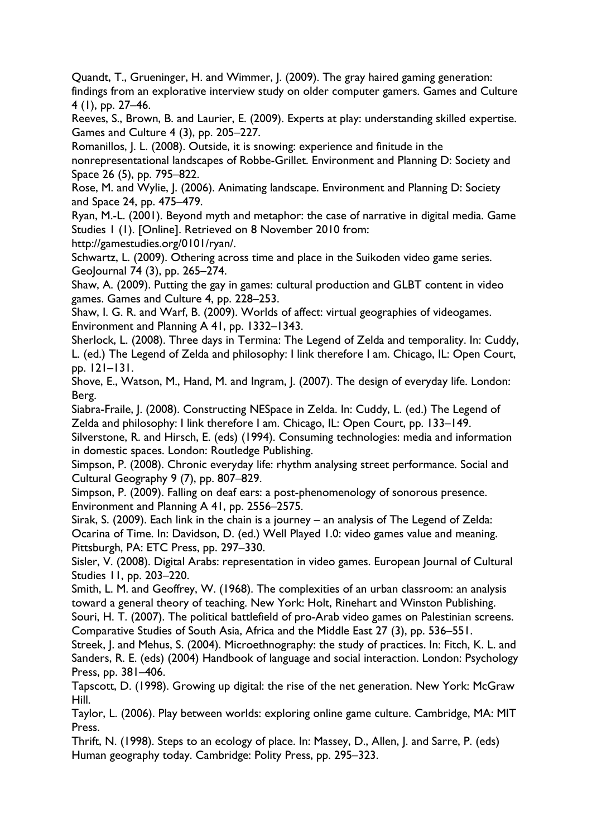Quandt, T., Grueninger, H. and Wimmer, J. (2009). The gray haired gaming generation: findings from an explorative interview study on older computer gamers. Games and Culture 4 (1), pp. 27–46.

Reeves, S., Brown, B. and Laurier, E. (2009). Experts at play: understanding skilled expertise. Games and Culture 4 (3), pp. 205–227.

Romanillos, J. L. (2008). Outside, it is snowing: experience and finitude in the nonrepresentational landscapes of Robbe-Grillet. Environment and Planning D: Society and Space 26 (5), pp. 795–822.

Rose, M. and Wylie, J. (2006). Animating landscape. Environment and Planning D: Society and Space 24, pp. 475–479.

Ryan, M.-L. (2001). Beyond myth and metaphor: the case of narrative in digital media. Game Studies 1 (1). [Online]. Retrieved on 8 November 2010 from:

http://gamestudies.org/0101/ryan/.

Schwartz, L. (2009). Othering across time and place in the Suikoden video game series. GeoJournal 74 (3), pp. 265–274.

Shaw, A. (2009). Putting the gay in games: cultural production and GLBT content in video games. Games and Culture 4, pp. 228–253.

Shaw, I. G. R. and Warf, B. (2009). Worlds of affect: virtual geographies of videogames. Environment and Planning A 41, pp. 1332–1343.

Sherlock, L. (2008). Three days in Termina: The Legend of Zelda and temporality. In: Cuddy, L. (ed.) The Legend of Zelda and philosophy: I link therefore I am. Chicago, IL: Open Court, pp. 121–131.

Shove, E., Watson, M., Hand, M. and Ingram, J. (2007). The design of everyday life. London: Berg.

Siabra-Fraile, J. (2008). Constructing NESpace in Zelda. In: Cuddy, L. (ed.) The Legend of Zelda and philosophy: I link therefore I am. Chicago, IL: Open Court, pp. 133–149.

Silverstone, R. and Hirsch, E. (eds) (1994). Consuming technologies: media and information in domestic spaces. London: Routledge Publishing.

Simpson, P. (2008). Chronic everyday life: rhythm analysing street performance. Social and Cultural Geography 9 (7), pp. 807–829.

Simpson, P. (2009). Falling on deaf ears: a post-phenomenology of sonorous presence. Environment and Planning A 41, pp. 2556–2575.

Sirak, S. (2009). Each link in the chain is a journey – an analysis of The Legend of Zelda: Ocarina of Time. In: Davidson, D. (ed.) Well Played 1.0: video games value and meaning. Pittsburgh, PA: ETC Press, pp. 297–330.

Sisler, V. (2008). Digital Arabs: representation in video games. European Journal of Cultural Studies 11, pp. 203–220.

Smith, L. M. and Geoffrey, W. (1968). The complexities of an urban classroom: an analysis toward a general theory of teaching. New York: Holt, Rinehart and Winston Publishing.

Souri, H. T. (2007). The political battlefield of pro-Arab video games on Palestinian screens. Comparative Studies of South Asia, Africa and the Middle East 27 (3), pp. 536–551.

Streek, J. and Mehus, S. (2004). Microethnography: the study of practices. In: Fitch, K. L. and Sanders, R. E. (eds) (2004) Handbook of language and social interaction. London: Psychology Press, pp. 381–406.

Tapscott, D. (1998). Growing up digital: the rise of the net generation. New York: McGraw Hill.

Taylor, L. (2006). Play between worlds: exploring online game culture. Cambridge, MA: MIT Press.

Thrift, N. (1998). Steps to an ecology of place. In: Massey, D., Allen, J. and Sarre, P. (eds) Human geography today. Cambridge: Polity Press, pp. 295–323.